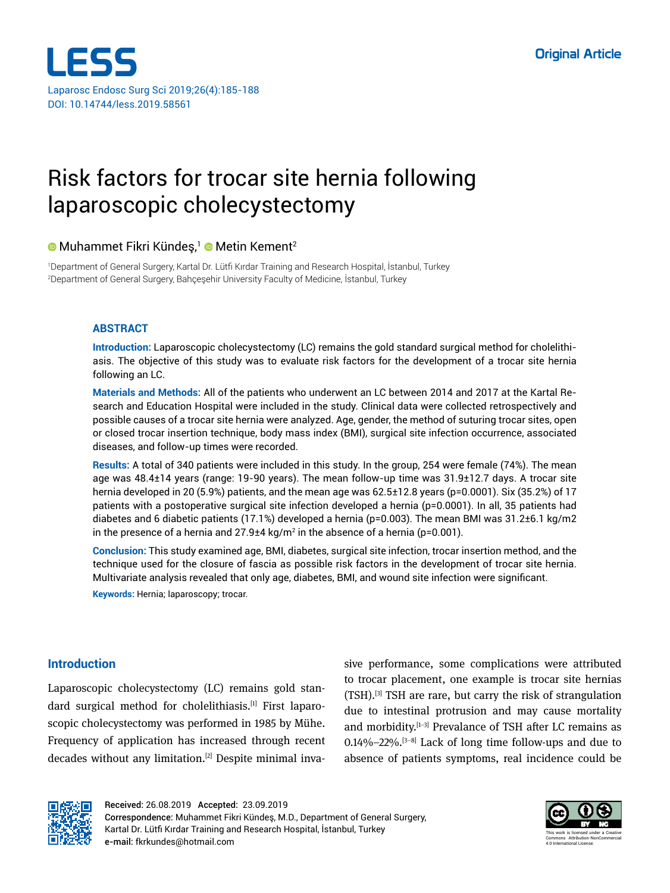

# Risk factors for trocar site hernia following laparoscopic cholecystectomy

# $\bullet$  Muhammet Fikri Kündeş,<sup>1</sup>  $\bullet$  Metin Kement<sup>2</sup>

1 Department of General Surgery, Kartal Dr. Lütfi Kırdar Training and Research Hospital, İstanbul, Turkey 2 Department of General Surgery, Bahçeşehir University Faculty of Medicine, İstanbul, Turkey

## **ABSTRACT**

**Introduction:** Laparoscopic cholecystectomy (LC) remains the gold standard surgical method for cholelithiasis. The objective of this study was to evaluate risk factors for the development of a trocar site hernia following an LC.

**Materials and Methods:** All of the patients who underwent an LC between 2014 and 2017 at the Kartal Research and Education Hospital were included in the study. Clinical data were collected retrospectively and possible causes of a trocar site hernia were analyzed. Age, gender, the method of suturing trocar sites, open or closed trocar insertion technique, body mass index (BMI), surgical site infection occurrence, associated diseases, and follow-up times were recorded.

**Results:** A total of 340 patients were included in this study. In the group, 254 were female (74%). The mean age was 48.4±14 years (range: 19-90 years). The mean follow-up time was 31.9±12.7 days. A trocar site hernia developed in 20 (5.9%) patients, and the mean age was 62.5±12.8 years (p=0.0001). Six (35.2%) of 17 patients with a postoperative surgical site infection developed a hernia (p=0.0001). In all, 35 patients had diabetes and 6 diabetic patients (17.1%) developed a hernia (p=0.003). The mean BMI was 31.2±6.1 kg/m2 in the presence of a hernia and 27.9±4 kg/m² in the absence of a hernia (p=0.001).

**Conclusion:** This study examined age, BMI, diabetes, surgical site infection, trocar insertion method, and the technique used for the closure of fascia as possible risk factors in the development of trocar site hernia. Multivariate analysis revealed that only age, diabetes, BMI, and wound site infection were significant.

**Keywords:** Hernia; laparoscopy; trocar.

# **Introduction**

Laparoscopic cholecystectomy (LC) remains gold standard surgical method for cholelithiasis.[1] First laparoscopic cholecystectomy was performed in 1985 by Mühe. Frequency of application has increased through recent decades without any limitation.[2] Despite minimal invasive performance, some complications were attributed to trocar placement, one example is trocar site hernias (TSH).[3] TSH are rare, but carry the risk of strangulation due to intestinal protrusion and may cause mortality and morbidity.[1–3] Prevalance of TSH after LC remains as  $0.14\% - 22\%$ . <sup>[3–8]</sup> Lack of long time follow-ups and due to absence of patients symptoms, real incidence could be



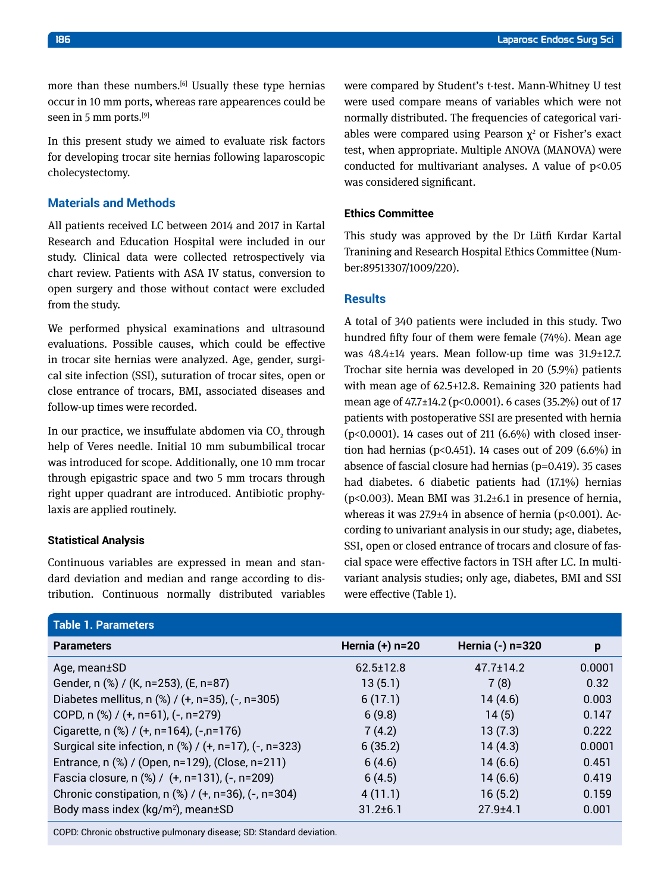more than these numbers.<sup>[6]</sup> Usually these type hernias occur in 10 mm ports, whereas rare appearences could be seen in 5 mm ports.<sup>[9]</sup>

In this present study we aimed to evaluate risk factors for developing trocar site hernias following laparoscopic cholecystectomy.

# **Materials and Methods**

All patients received LC between 2014 and 2017 in Kartal Research and Education Hospital were included in our study. Clinical data were collected retrospectively via chart review. Patients with ASA IV status, conversion to open surgery and those without contact were excluded from the study.

We performed physical examinations and ultrasound evaluations. Possible causes, which could be effective in trocar site hernias were analyzed. Age, gender, surgical site infection (SSI), suturation of trocar sites, open or close entrance of trocars, BMI, associated diseases and follow-up times were recorded.

In our practice, we insuffulate abdomen via CO $_{\textrm{\tiny{2}}}$  through help of Veres needle. Initial 10 mm subumbilical trocar was introduced for scope. Additionally, one 10 mm trocar through epigastric space and two 5 mm trocars through right upper quadrant are introduced. Antibiotic prophylaxis are applied routinely.

#### **Statistical Analysis**

Continuous variables are expressed in mean and standard deviation and median and range according to distribution. Continuous normally distributed variables were compared by Student's t-test. Mann-Whitney U test were used compare means of variables which were not normally distributed. The frequencies of categorical variables were compared using Pearson  $\chi^2$  or Fisher's exact test, when appropriate. Multiple ANOVA (MANOVA) were conducted for multivariant analyses. A value of  $p<0.05$ was considered significant.

### **Ethics Committee**

This study was approved by the Dr Lütfi Kırdar Kartal Tranining and Research Hospital Ethics Committee (Number:89513307/1009/220).

## **Results**

A total of 340 patients were included in this study. Two hundred fifty four of them were female (74%). Mean age was 48.4±14 years. Mean follow-up time was 31.9±12.7. Trochar site hernia was developed in 20 (5.9%) patients with mean age of 62.5+12.8. Remaining 320 patients had mean age of 47.7±14.2 (p<0.0001). 6 cases (35.2%) out of 17 patients with postoperative SSI are presented with hernia (p<0.0001). 14 cases out of 211 (6.6%) with closed insertion had hernias (p<0.451). 14 cases out of 209 (6.6%) in absence of fascial closure had hernias (p=0.419). 35 cases had diabetes. 6 diabetic patients had (17.1%) hernias ( $p<0.003$ ). Mean BMI was 31.2 $\pm$ 6.1 in presence of hernia, whereas it was  $27.9\pm4$  in absence of hernia ( $p<0.001$ ). According to univariant analysis in our study; age, diabetes, SSI, open or closed entrance of trocars and closure of fascial space were effective factors in TSH after LC. In multivariant analysis studies; only age, diabetes, BMI and SSI were effective (Table 1).

| <u>Table 1. Parameters </u>                            |                   |                  |        |
|--------------------------------------------------------|-------------------|------------------|--------|
| <b>Parameters</b>                                      | Hernia $(+)$ n=20 | Hernia (-) n=320 | p      |
| Age, mean±SD                                           | $62.5 \pm 12.8$   | $47.7 \pm 14.2$  | 0.0001 |
| Gender, n (%) / (K, n=253), (E, n=87)                  | 13(5.1)           | 7(8)             | 0.32   |
| Diabetes mellitus, n (%) / (+, n=35), (-, n=305)       | 6(17.1)           | 14(4.6)          | 0.003  |
| COPD, n (%) / (+, n=61), (-, n=279)                    | 6(9.8)            | 14(5)            | 0.147  |
| Cigarette, n (%) / (+, n=164), (-,n=176)               | 7(4.2)            | 13(7.3)          | 0.222  |
| Surgical site infection, n (%) / (+, n=17), (-, n=323) | 6(35.2)           | 14(4.3)          | 0.0001 |
| Entrance, n (%) / (Open, n=129), (Close, n=211)        | 6(4.6)            | 14(6.6)          | 0.451  |
| Fascia closure, n (%) / (+, n=131), (-, n=209)         | 6(4.5)            | 14(6.6)          | 0.419  |
| Chronic constipation, $n$ (%) / (+, n=36), (-, n=304)  | 4(11.1)           | 16(5.2)          | 0.159  |
| Body mass index (kg/m <sup>2</sup> ), mean±SD          | $31.2 \pm 6.1$    | $27.9 + 4.1$     | 0.001  |

COPD: Chronic obstructive pulmonary disease; SD: Standard deviation.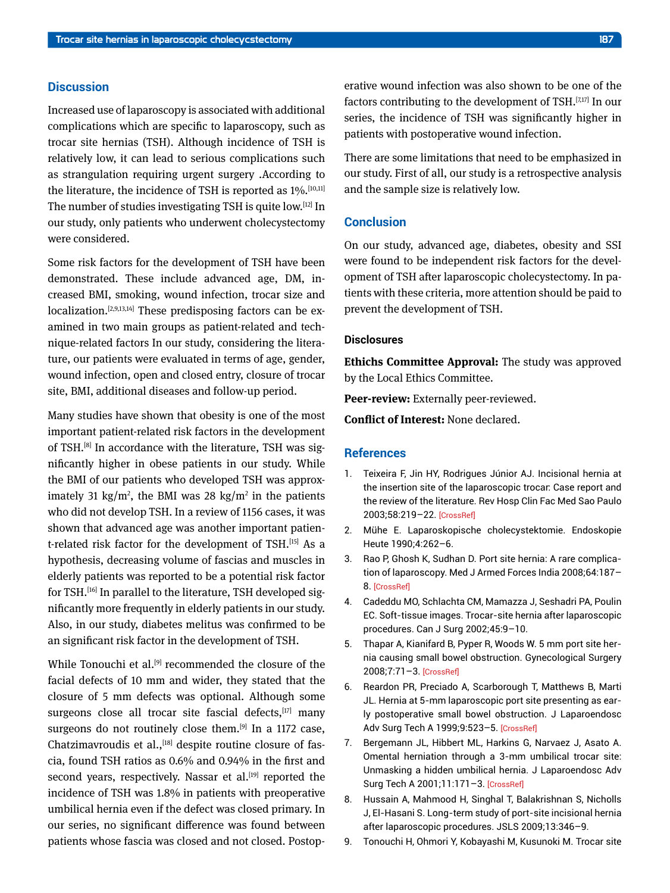## **Discussion**

Increased use of laparoscopy is associated with additional complications which are specific to laparoscopy, such as trocar site hernias (TSH). Although incidence of TSH is relatively low, it can lead to serious complications such as strangulation requiring urgent surgery .According to the literature, the incidence of TSH is reported as  $1\%$ .  $[10,11]$ The number of studies investigating TSH is quite low.[12] In our study, only patients who underwent cholecystectomy were considered.

Some risk factors for the development of TSH have been demonstrated. These include advanced age, DM, increased BMI, smoking, wound infection, trocar size and localization.<sup>[2,9,13,14]</sup> These predisposing factors can be examined in two main groups as patient-related and technique-related factors In our study, considering the literature, our patients were evaluated in terms of age, gender, wound infection, open and closed entry, closure of trocar site, BMI, additional diseases and follow-up period.

Many studies have shown that obesity is one of the most important patient-related risk factors in the development of TSH.[8] In accordance with the literature, TSH was significantly higher in obese patients in our study. While the BMI of our patients who developed TSH was approximately 31 kg/m<sup>2</sup>, the BMI was 28 kg/m<sup>2</sup> in the patients who did not develop TSH. In a review of 1156 cases, it was shown that advanced age was another important patient-related risk factor for the development of TSH.[15] As a hypothesis, decreasing volume of fascias and muscles in elderly patients was reported to be a potential risk factor for TSH.<sup>[16]</sup> In parallel to the literature, TSH developed significantly more frequently in elderly patients in our study. Also, in our study, diabetes melitus was confirmed to be an significant risk factor in the development of TSH.

While Tonouchi et al.<sup>[9]</sup> recommended the closure of the facial defects of 10 mm and wider, they stated that the closure of 5 mm defects was optional. Although some surgeons close all trocar site fascial defects, [17] many surgeons do not routinely close them.<sup>[9]</sup> In a 1172 case, Chatzimavroudis et al., [18] despite routine closure of fascia, found TSH ratios as 0.6% and 0.94% in the first and second years, respectively. Nassar et al.<sup>[19]</sup> reported the incidence of TSH was 1.8% in patients with preoperative umbilical hernia even if the defect was closed primary. In our series, no significant difference was found between patients whose fascia was closed and not closed. Postop-

There are some limitations that need to be emphasized in our study. First of all, our study is a retrospective analysis and the sample size is relatively low.

#### **Conclusion**

On our study, advanced age, diabetes, obesity and SSI were found to be independent risk factors for the development of TSH after laparoscopic cholecystectomy. In patients with these criteria, more attention should be paid to prevent the development of TSH.

### **Disclosures**

**Ethichs Committee Approval:** The study was approved by the Local Ethics Committee.

**Peer-review:** Externally peer-reviewed.

**Conflict of Interest:** None declared.

#### **References**

- 1. Teixeira F, Jin HY, Rodrigues Júnior AJ. Incisional hernia at the insertion site of the laparoscopic trocar: Case report and the review of the literature. Rev Hosp Clin Fac Med Sao Paulo 2003;58:219–22. [\[CrossRef\]](https://doi.org/10.1590/S0041-87812003000400006)
- 2. Mühe E. Laparoskopische cholecystektomie. Endoskopie Heute 1990;4:262–6.
- 3. Rao P, Ghosh K, Sudhan D. Port site hernia: A rare complication of laparoscopy. Med J Armed Forces India 2008;64:187– 8[. \[CrossRef\]](https://doi.org/10.1016/S0377-1237(08)80081-0)
- 4. Cadeddu MO, Schlachta CM, Mamazza J, Seshadri PA, Poulin EC. Soft-tissue images. Trocar-site hernia after laparoscopic procedures. Can J Surg 2002;45:9–10.
- 5. Thapar A, Kianifard B, Pyper R, Woods W. 5 mm port site hernia causing small bowel obstruction. Gynecological Surgery 2008;7:71–3. [\[CrossRef\]](https://doi.org/10.1007/s10397-008-0450-6)
- 6. Reardon PR, Preciado A, Scarborough T, Matthews B, Marti JL. Hernia at 5-mm laparoscopic port site presenting as early postoperative small bowel obstruction. J Laparoendosc Adv Surg Tech A 1999;9:523–5. [\[CrossRef\]](https://doi.org/10.1089/lap.1999.9.523)
- 7. Bergemann JL, Hibbert ML, Harkins G, Narvaez J, Asato A. Omental herniation through a 3-mm umbilical trocar site: Unmasking a hidden umbilical hernia. J Laparoendosc Adv Surg Tech A 2001;11:171–3. [\[CrossRef\]](https://doi.org/10.1089/10926420152389332)
- 8. Hussain A, Mahmood H, Singhal T, Balakrishnan S, Nicholls J, El-Hasani S. Long-term study of port-site incisional hernia after laparoscopic procedures. JSLS 2009;13:346–9.
- 9. Tonouchi H, Ohmori Y, Kobayashi M, Kusunoki M. Trocar site